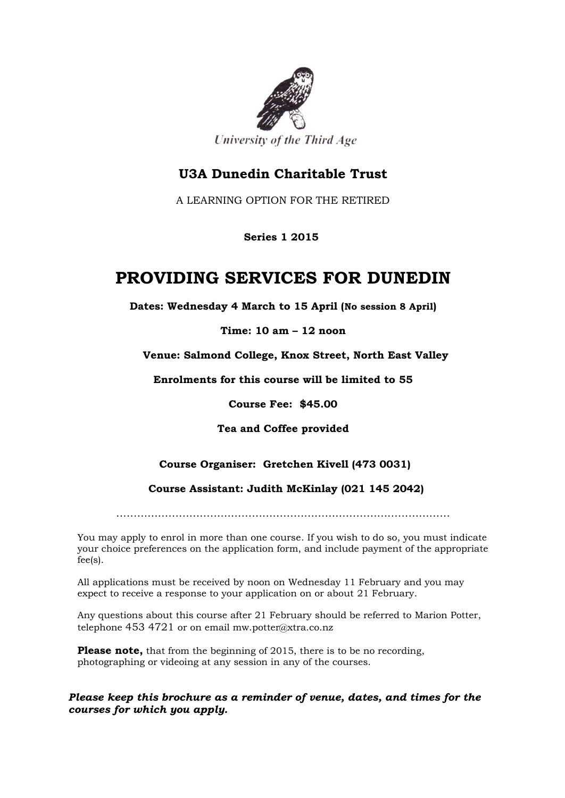

### **U3A Dunedin Charitable Trust**

A LEARNING OPTION FOR THE RETIRED

 **Series 1 2015**

## **PROVIDING SERVICES FOR DUNEDIN**

**Dates: Wednesday 4 March to 15 April (No session 8 April)**

**Time: 10 am – 12 noon**

**Venue: Salmond College, Knox Street, North East Valley**

**Enrolments for this course will be limited to 55**

**Course Fee: \$45.00**

**Tea and Coffee provided**

#### **Course Organiser: Gretchen Kivell (473 0031)**

 **Course Assistant: Judith McKinlay (021 145 2042)**

……………………………………………………………………………………

You may apply to enrol in more than one course. If you wish to do so, you must indicate your choice preferences on the application form, and include payment of the appropriate fee(s).

All applications must be received by noon on Wednesday 11 February and you may expect to receive a response to your application on or about 21 February.

Any questions about this course after 21 February should be referred to Marion Potter, telephone 453 4721 or on email mw.potter@xtra.co.nz

**Please note,** that from the beginning of 2015, there is to be no recording, photographing or videoing at any session in any of the courses.

*Please keep this brochure as a reminder of venue, dates, and times for the courses for which you apply.*